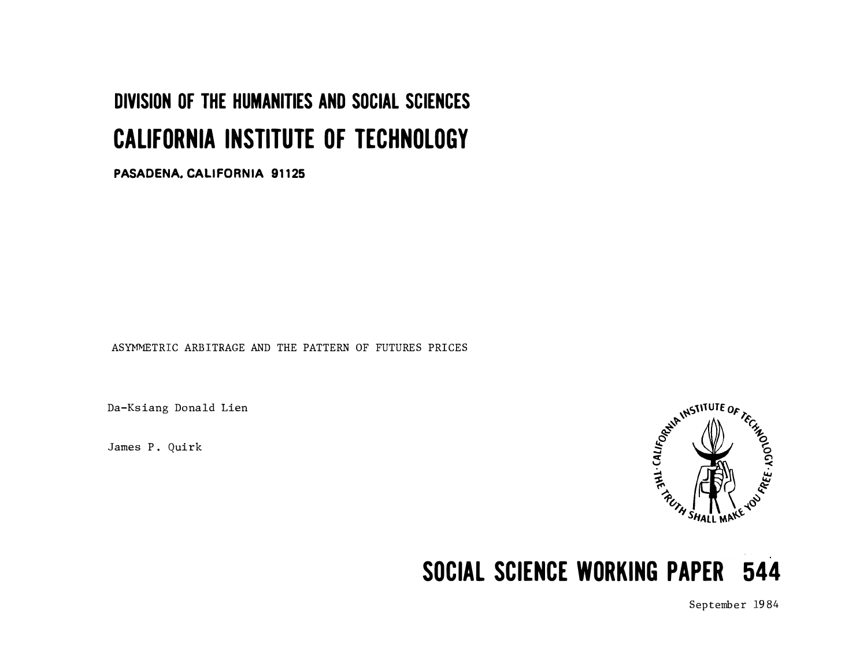# DIVISION OF THE HUMANITIES AND SOCIAL SCIENCES CALIFORNIA INSTITUTE OF TECHNOLOGY

PASADENA. CALIFORNIA 91125

ASYMMETRIC ARBITRAGE AND THE PATTERN OF FUTURES PRICES

Da-Ksiang Donald Lien

James P. Quirk



# SOCIAL SCIENCE WORKING PAPER 544

September 19 84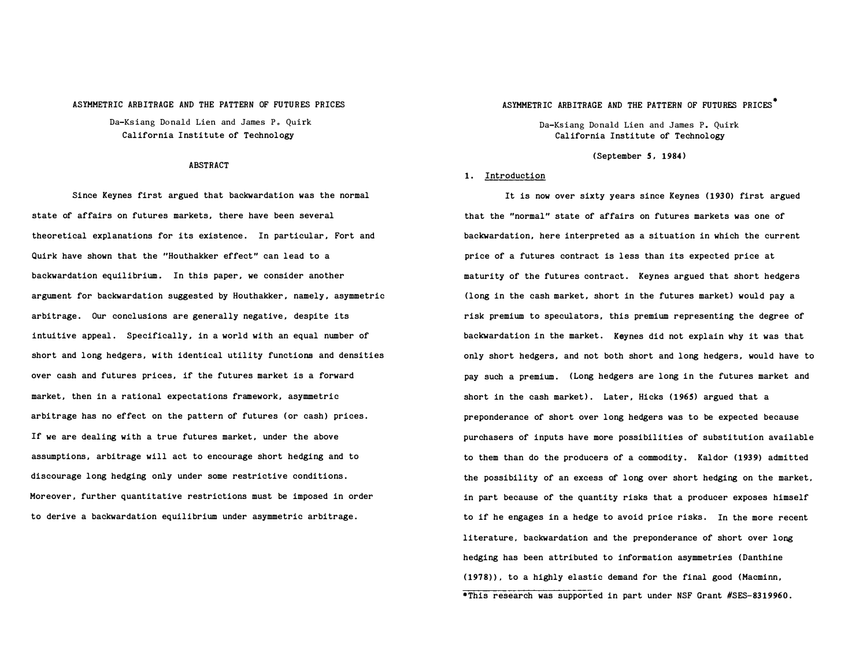#### ASYMMETRIC ARBITRAGE AND THE PATTERN OF FUTURES PRICES

Da-Ksiang Donald Lien and James P. Quirk California Institute of Technology

#### ABSTRACT

state of affairs on futures markets, there have been several theoretical explanations for its existence. In particular, Fort and Quirk have shown that the "Houthakker effect" can lead to a backwardation equilibrium. In this paper, we consider another argument for backwardation suggested by Houthakker, namely, asymmetric arbitrage. Our conclusions are generally negative, despite its intuitive appeal. Specifically, in a world with an equal number of short and long hedgers, with identical utility functions and densities over cash and futures prices, if the futures market is a forward market, then in a rational expectations framework, asymmetric arbitrage has no effect on the pattern of futures (or cash) prices. If we are dealing with a true futures market, under the above assumptions, arbitrage will act to encourage short hedging and to discourage long hedging only under some restrictive conditions. Moreover, further quantitative restrictions must be imposed in order to derive a backwardation equilibrium under asymmetric arbitrage.

### ASYMMETRIC ARBITRAGE AND THE PATTERN OF FUTURES PRICES<sup>®</sup>

Da-Ksiang Donald Lien and James P. Quirk California Institute of Technology

#### (September S, 1984)

#### 1. Introduction

Since Keynes first argued that backwardation was the normal **It is now over sixty years since Keynes** (1930) first argued that the "normal" state of affairs on futures markets was one of backwardation, here interpreted as a situation in which the current price of a futures contract is less than its expected price at maturity of the futures contract. Keynes argued that short hedgers (long in the cash market, short in the futures market) would pay a risk premium to speculators, this premium representing the degree of backwardation in the market. Keynes did not explain why it was that only short hedgers, and not both short and long hedgers, would have to pay such a premium. (Long hedgers are long in the futures market and short in the cash market). Later, Hicks (1965) argued that a preponderance of short over long hedgers was to be expected because purchasers of inputs have more possibilities of substitution available to them than do the producers of a commodity. Kaldor (1939) admitted the possibility of an excess of long over short hedging on the market, in part because of the quantity risks that a producer exposes himself to if he engages in a hedge to avoid price risks. In the more recent literature, backwardation and the preponderance of short over long hedging has been attributed to information asymmetries (Danthine (1978)), to a highly elastic demand for the final good (Macminn, \*This research was supported in part under NSF Grant #SES-8319960.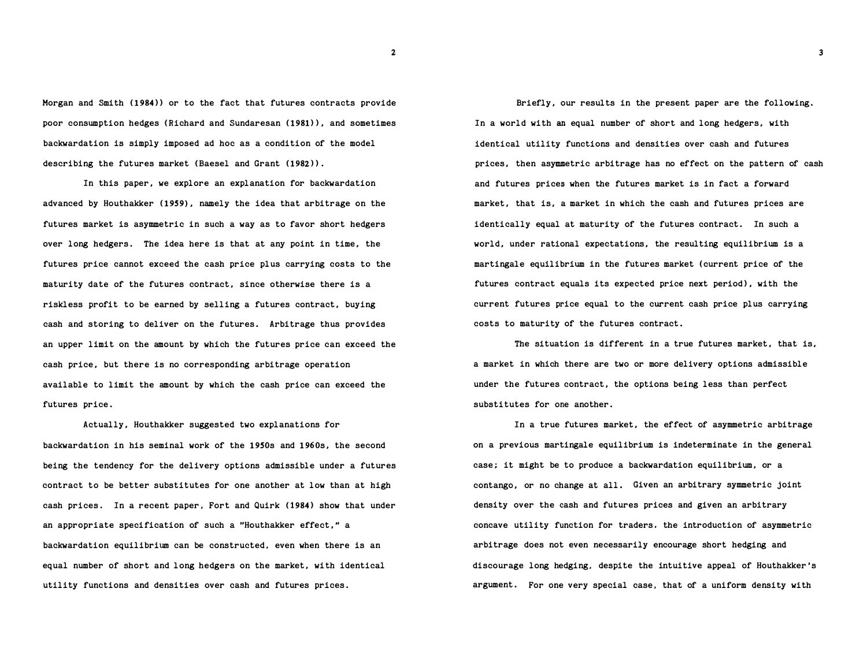Morgan and Smith (1984)) or to the fact that futures contracts provide poor consumption hedges (Richard and Sundaresan (1981)), and sometimes backwardation is simply imposed ad hoc as a condition of the model describing the futures market (Baesel and Grant (1982)).

In this paper, we explore an explanation for backwardation advanced by Houthakker (1959), namely the idea that arbitrage on the futures market is asymmetric in such a way as to favor short hedgers over long hedgers. The idea here is that at any point in time, the futures price cannot exceed the cash price plus carrying costs to the maturity date of the futures contract, since otherwise there is a riskless profit to be earned by selling a futures contract, buying cash and storing to deliver on the futures. Arbitrage thus provides an upper limit on the amount by which the futures price can exceed the cash price, but there is no corresponding arbitrage operation available to limit the amount by which the cash price can exceed the futures price.

Actually, Houthakker suggested two explanations for backwardation in his seminal work of the 1950s and 1960s, the second being the tendency for the delivery options admissible under a futures contract to be better substitutes for one another at low than at high cash prices. In a recent paper, Fort and Quirk (1984) show that under an appropriate specification of such a "Houthakker effect," a backwardation equilibrium can be constructed, even when there is an equal number of short and long hedgers on the market, with identical utility functions and densities over cash and futures prices.

Briefly, our results in the present paper are the following. In a world with an equal number of short and long hedgers, with identical utility functions and densities over cash and futures prices, then asymmetric arbitrage has no effect on the pattern of cash and futures prices when the futures market is in fact a forward market, that is, a market in which the cash and futures prices are identically equal at maturity of the futures contract. In such a world, under rational expectations, the resulting equilibrium is a martingale equilibrium in the futures market (current price of the futures contract equals its expected price next period), with the current futures price equal to the current cash price plus carrying costs to maturity of the futures contract.

The situation is different in a true futures market, that is, a market in which there are two or more delivery options admissible under the futures contract, the options being less than perfect substitutes for one another.

In a true futures market, the effect of asymmetric arbitrage on a previous martingale equilibrium is indeterminate in the general case; it might be to produce a backwardation equilibrium, or a contango, or no change at all. Given an arbitrary symmetric joint density over the cash and futures prices and given an arbitrary concave utility function for traders. the introduction of asymmetric arbitrage does not even necessarily encourage short hedging and discourage long hedging, despite the intuitive appeal of Houthakker's argument. For one very special case, that of a uniform density with

2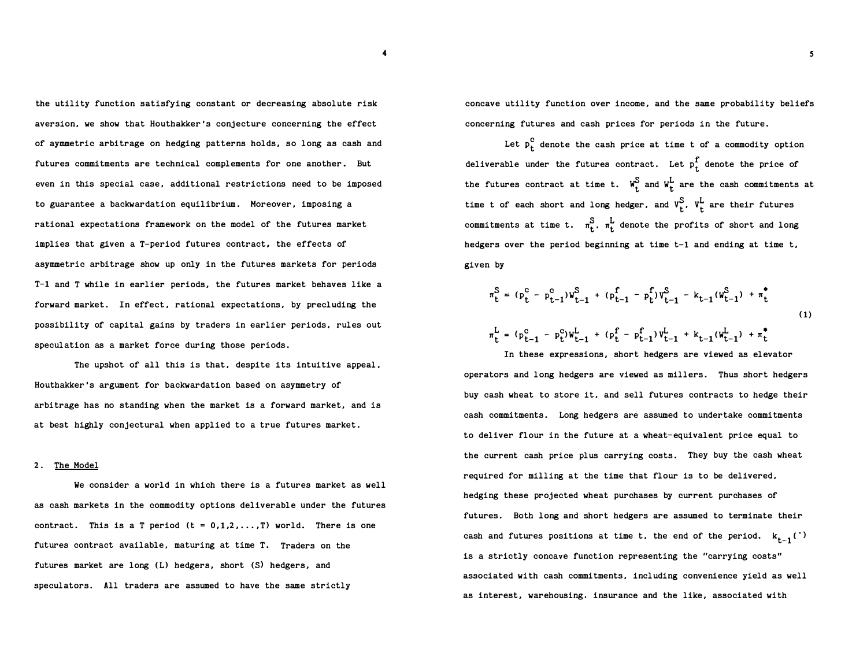the utility function satisfying constant or decreasing absolute risk aversion, we show that Houthakker's conjecture concerning the effect of aymmetric arbitrage on hedging patterns holds, so long as cash and futures commitments are technical complements for one another. But even in this special case, additional restrictions need to be imposed to guarantee a backwardation equilibrium. Moreover, imposing a rational expectations framework on the model of the futures market implies that given a T-period futures contract, the effects of asymmetric arbitrage show up only in the futures markets for periods T-1 and T while in earlier periods, the futures market behaves like a forward market. In effect, rational expectations, by precluding the possibility of capital gains by traders in earlier periods, rules out speculation as a market force during those periods.

The upshot of all this is that, despite its intuitive appeal, Houthakker's argument for backwardation based on asymmetry of arbitrage has no standing when the market is a forward market, and is at best highly conjectural when applied to a true futures market.

#### 2. The Model

We consider a world in which there is a futures market as well as cash markets in the commodity options deliverable under the futures contract. This is a T period  $(t = 0,1,2,...,T)$  world. There is one futures contract available, maturing at time T. Traders on the futures market are long (L) hedgers, short (S) hedgers, and speculators. All traders are assumed to have the same strictly

concave utility function over income, and the same probability beliefs concerning futures and cash prices for periods in the future.

Let  $p_t^C$  denote the cash price at time t of a commodity option deliverable under the futures contract. Let  $p_t^f$  denote the price of the futures contract at time t.  $W_t^S$  and  $W_t^L$  are the cash commitments at time t of each short and long hedger, and  $V_t^S$ ,  $V_t^L$  are their futures commitments at time t.  $\pi_t^S$ ,  $\pi_t^L$  denote the profits of short and long hedgers over the period beginning at time t-1 and ending at time t, given by

$$
\pi_{t}^{S} = (\mathbf{p}_{t}^{c} - \mathbf{p}_{t-1}^{c}) \mathbf{W}_{t-1}^{S} + (\mathbf{p}_{t-1}^{f} - \mathbf{p}_{t}^{f}) \mathbf{V}_{t-1}^{S} - \mathbf{k}_{t-1} (\mathbf{W}_{t-1}^{S}) + \pi_{t}^{*}
$$
\n
$$
\pi_{t}^{L} = (\mathbf{p}_{t-1}^{c} - \mathbf{p}_{t}^{c}) \mathbf{W}_{t-1}^{L} + (\mathbf{p}_{t}^{f} - \mathbf{p}_{t-1}^{f}) \mathbf{V}_{t-1}^{L} + \mathbf{k}_{t-1} (\mathbf{W}_{t-1}^{L}) + \pi_{t}^{*}
$$
\n(1)

In these expressions, short hedgers are viewed as elevator operators and long hedgers are viewed as millers. Thus short hedgers buy cash wheat to store it, and sell futures contracts to hedge their cash commitments. Long hedgers are assumed to undertake commitments to deliver flour in the future at a wheat-equivalent price equal to the current cash price plus carrying costs. They buy the cash wheat required for milling at the time that flour is to be delivered, hedging these projected wheat purchases by current purchases of futures. Both long and short hedgers are assumed to terminate their cash and futures positions at time t, the end of the period.  $k_{t-1}$  (') is a strictly concave function representing the "carrying costs" associated with cash commitments, including convenience yield as well as interest, warehousing. insurance and the like, associated with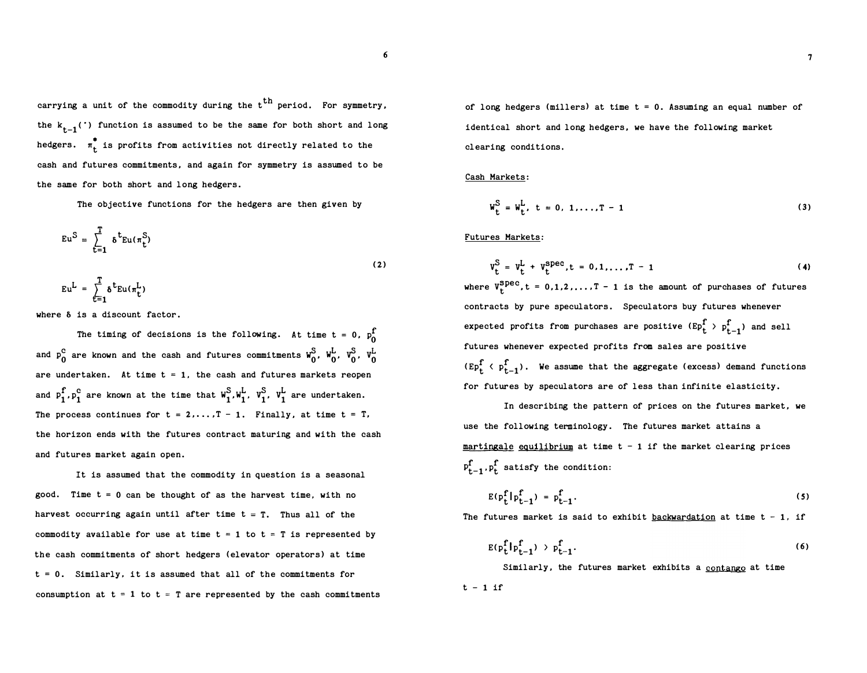carrying a unit of the commodity during the t<sup>th</sup> period. For symmetry, the  $k_{t-1}$ (') function is assumed to be the same for both short and long hedgers.  $\pi_{\mathbf{t}}^*$  is profits from activities not directly related to the cash and futures commitments, and again for symmetry is assumed to be the same for both short and long hedgers.

The objective functions for the hedgers are then given by

$$
Eu^{S} = \sum_{t=1}^{T} \delta^{t} Eu(\pi_{t}^{S})
$$
  
\n
$$
Eu^{L} = \sum_{t=1}^{T} \delta^{t} Eu(\pi_{t}^{L})
$$
\n(2)

where  $\delta$  is a discount factor.

The timing of decisions is the following. At time  $t = 0$ ,  $p_0^f$ and  $p_{0}^{c}$  are known and the cash and futures commitments  $W_{0}^{S}$ ,  $W_{0}^{L}$ ,  $V_{0}^{S}$ ,  $V_{0}^{L}$ are undertaken. At time  $t = 1$ , the cash and futures markets reopen and  $p_1^f, p_1^c$  are known at the time that  $W_1^S, W_1^L, V_1^S, V_1^L$  are undertaken. The process continues for  $t = 2,...,T - 1$ . Finally, at time  $t = T$ , the horizon ends with the futures contract maturing and with the cash and futures market again open.

It is assumed that the commodity in question is a seasonal good. Time  $t = 0$  can be thought of as the harvest time, with no harvest occurring again until after time  $t = T$ . Thus all of the commodity available for use at time  $t = 1$  to  $t = T$  is represented by the cash commitments of short hedgers (elevator operators) at time  $t = 0$ . Similarly, it is assumed that all of the commitments for consumption at  $t = 1$  to  $t = T$  are represented by the cash commitments of long hedgers (millers) at time  $t = 0$ . Assuming an equal number of identical short and long hedgers, we have the following market clearing conditions.

Cash Markets:

$$
W_{t}^{S} = W_{t}^{L}, t = 0, 1, ..., T - 1
$$
 (3)

Futures Markets:

$$
v_{t}^{S} = v_{t}^{L} + v_{t}^{spec}, t = 0, 1, ..., T - 1
$$
 (4)

where  $V_t^{Spec}$ ,  $t = 0,1,2,...,T-1$  is the amount of purchases of futures contracts by pure speculators. Speculators buy futures whenever expected profits from purchases are positive  $(\text{Ep}_{t}^{\text{f}} > p_{t-1}^{\text{f}})$  and sell futures whenever expected profits from sales are positive  $(Ep_t^f \nmid p_{t-1}^f)$ . We assume that the aggregate (excess) demand functions for futures by speculators are of less than infinite elasticity.

In describing the pattern of prices on the futures market, we use the following terminology. The futures market attains a martingale equilibrium at time  $t - 1$  if the market clearing prices  $p_{t-1}^r$ ,  $p_t^r$  satisfy the condition:

$$
E(p_t^f | p_{t-1}^f) = p_{t-1}^f.
$$
 (5)

The futures market is said to exhibit backwardation at time  $t - 1$ , if

$$
E(p_t^f|p_{t-1}^f) > p_{t-1}^f.
$$
\n
$$
(6)
$$

Similarly, the futures market exhibits a contango at time

$$
t - 1 \text{ if}
$$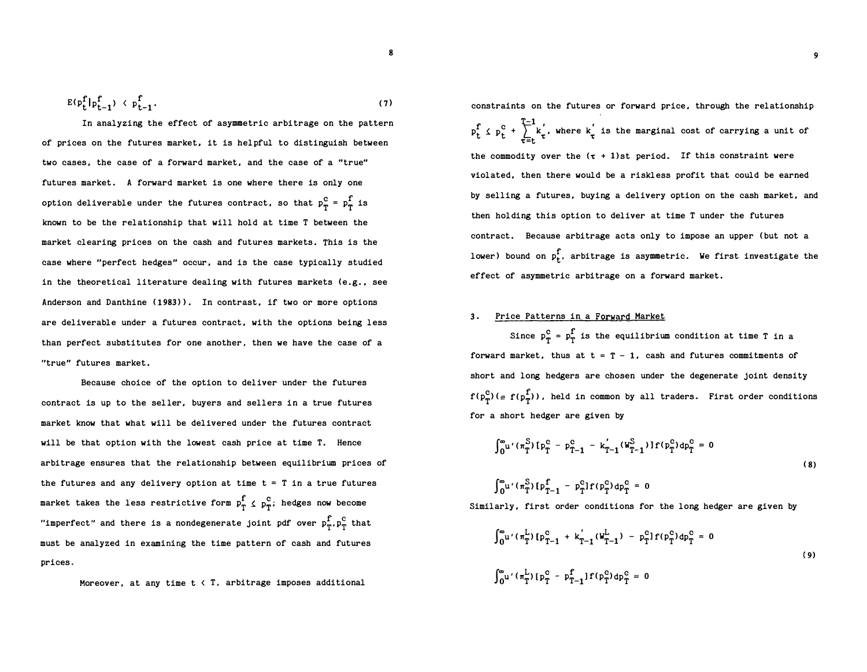$$
E(\mathbf{p}_t^f|\mathbf{p}_{t-1}^f) \le \mathbf{p}_{t-1}^f. \tag{7}
$$

In analyzing the effect of asymmetric arbitrage on the pattern of prices on the futures market, it is helpful to distinguish between two cases, the case of a forward market, and the case of a "true" futures market. A forward market is one where there is only one option deliverable under the futures contract, so that  $p_{\text{t}}^{\text{c}} = p_{\text{t}}^{\text{f}}$  is known to be the relationship that will hold at time T between the market clearing prices on the cash and futures markets. This is the case where "perfect hedges" occur, and is the case typically studied in the theoretical literature dealing with futures markets  $(e, g, g, g)$ Anderson and Danthine (1983)). In contrast, if two or more options are deliverable under a futures contract, with the options being less than perfect substitutes for one another, then we have the case of a "true" futures market.

Because choice of the option to deliver under the futures contract is up to the seller, buyers and sellers in a true futures market know that what will be delivered under the futures contract will be that option with the lowest cash price at time T. Hence arbitrage ensures that the relationship between equilibrium prices of the futures and any delivery option at time  $t = T$  in a true futures market takes the less restrictive form  $p_T^f \nleq p_T^c$ ; hedges now become "imperfect" and there is a nondegenerate joint pdf over  $p_T^f, p_T^c$  that must be analyzed in examining the time pattern of cash and futures prices.

Moreover, at any time 
$$
t \leq T
$$
, arbitrage imposes additional

constraints on the futures or forward price, through the relationship  $f \, e^c + \sum_{k}^{T-1} f'$  where  $k'$  $p_t^f \nleq p_t^c + \sum_{\tau=t} k_{\tau}$ , where  $k_{\tau}$  is the marginal cost of carrying a unit of the commodity over the  $(\tau + 1)$ st period. If this constraint were violated, then there would be a riskless profit that could be earned by selling a futures, buying a delivery option on the cash market, and then holding this option to deliver at time T under the futures contract. Because arbitrage acts only to impose an upper (but not a lower) bound on  $p_t^f$ , arbitrage is asymmetric. We first investigate the effect of asymmetric arbitrage on a forward market.

## 3. Price Patterns in a Forward Market

Since  $p_{\text{T}}^{\text{c}} = p_{\text{T}}^{\text{f}}$  is the equilibrium condition at time T in a forward market, thus at  $t = T - 1$ , cash and futures commitments of short and long hedgers are chosen under the degenerate joint density  $f(p_{\pi}^{c})$ (=  $f(p_{\pi}^{f})$ ), held in common by all traders. First order conditions for a short hedger are given by

$$
\int_{0}^{\infty} u' \left(\pi_{T}^{S}\right) \left[p_{T}^{C} - p_{T-1}^{C} - k_{T-1}' \left(w_{T-1}^{S}\right) \right] f(p_{T}^{C}) dp_{T}^{C} = 0
$$
\n
$$
\int_{0}^{\infty} u' \left(\pi_{T}^{S}\right) \left[p_{T-1}^{C} - p_{T}^{C}\right] f(p_{T}^{C}) dp_{T}^{C} = 0
$$
\n(8)

Similarly, first order conditions for the long hedger are given by

$$
\int_{0}^{\infty} u' \left(\pi_{T}^{L}\right) \left[p_{T-1}^{C} + k_{T-1}^{'}\left(W_{T-1}^{L}\right) - p_{T}^{C}\right] f(p_{T}^{C}) dp_{T}^{C} = 0
$$
\n
$$
\int_{0}^{\infty} u' \left(\pi_{T}^{L}\right) \left[p_{T}^{C} - p_{T-1}^{C}\right] f(p_{T}^{C}) dp_{T}^{C} = 0
$$
\n(9)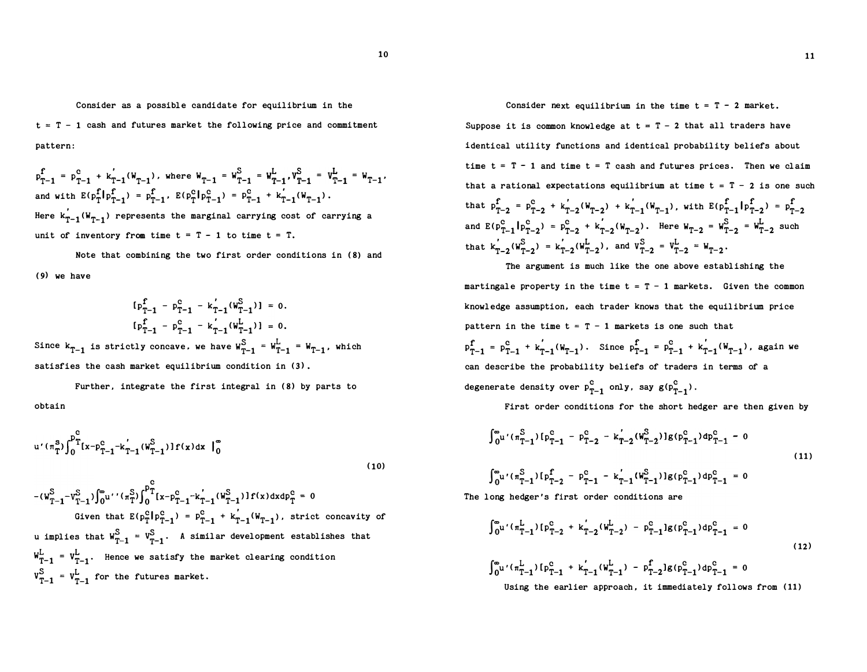Consider as a possible candidate for equilibrium in the  $t = T - 1$  cash and futures market the following price and commitment pattern:

$$
p_{T-1}^f = p_{T-1}^c + k'_{T-1}(W_{T-1}), \text{ where } W_{T-1} = W_{T-1}^S = W_{T-1}^L, V_{T-1}^S = V_{T-1}^L = W_{T-1},
$$
  
and with  $E(p_T^f | p_{T-1}^f) = p_{T-1}^f$ ,  $E(p_T^c | p_{T-1}^c) = p_{T-1}^c + k'_{T-1}(W_{T-1})$ .  
Here  $k'_{T-1}(W_{T-1})$  represents the marginal carrying cost of carrying a

unit of inventory from time  $t = T - 1$  to time  $t = T$ .

Note that combining the two first order conditions in (8) and (9) we have

$$
[\mathbf{p}_{T-1}^f - \mathbf{p}_{T-1}^c - \mathbf{k}'_{T-1}(\mathbf{w}_{T-1}^S)] = 0.
$$
  

$$
[\mathbf{p}_{T-1}^f - \mathbf{p}_{T-1}^c - \mathbf{k}'_{T-1}(\mathbf{w}_{T-1}^L)] = 0.
$$

Since  $k_{T-1}$  is strictly concave, we have  $W_{T-1}^S = W_{T-1}^L = W_{T-1}$ , which satisfies the cash market equilibrium condition in (3).

Further, integrate the first integral in (8) by parts to obtain

$$
u'(\pi_{T}^{S}) \int_{0}^{p_{T}^{C}} [x - p_{T-1}^{C} - k'_{T-1}(W_{T-1}^{S})] f(x) dx \big|_{0}^{\infty}
$$
\n(10)

$$
-(w_{T-1}^S - v_{T-1}^S) \int_0^{\infty} u' \cdot (\pi_T^S) \int_0^{p_T} [x - p_{T-1}^C - k'_{T-1}(w_{T-1}^S)] f(x) dx dp_T^C = 0
$$
  
Given that  $E(p_T^C|p_{T-1}^C) = p_{T-1}^C + k'_{T-1}(w_{T-1})$ , strict concavity of  
u implies that  $w_{T-1}^S = v_{T-1}^S$ . A similar development establishes that  
 $w_{T-1}^L = v_{T-1}^L$ . Hence we satisfy the market clearing condition  
 $v_{T-1}^S = v_{T-1}^L$  for the futures market.

Consider next equilibrium in the time  $t = T - 2$  market.

Suppose it is common knowledge at  $t = T - 2$  that all traders have identical utility functions and identical probability beliefs about time  $t = T - 1$  and time  $t = T$  cash and futures prices. Then we claim that a rational expectations equilibrium at time  $t = T - 2$  is one such that  $p_{T-2}^f = p_{T-2}^c + k'_{T-2}(W_{T-2}) + k'_{T-1}(W_{T-1})$ , with  $E(p_{T-1}^f | p_{T-2}^f) = p_{T-2}^f$ and  $E(p_{T-1}^c | p_{T-2}^c) = p_{T-2}^c + k'_{T-2}(W_{T-2})$ . Here  $W_{T-2} = W_{T-2}^S = W_{T-2}^L$  such that  $k_{T-2} (W_{T-2}^S) = k_{T-2} (W_{T-2}^L)$ , and  $V_{T-2}^S = V_{T-2}^L = W_{T-2}$ .

The argument is much like the one above establishing the martingale property in the time  $t = T - 1$  markets. Given the common knowledge assumption, each trader knows that the equilibrium price pattern in the time  $t = T - 1$  markets is one such that  $p_{T-1}^f = p_{T-1}^c + k'_{T-1}(w_{T-1})$ . Since  $p_{T-1}^f = p_{T-1}^c + k'_{T-1}(w_{T-1})$ , again we can describe the probability beliefs of traders in terms of a degenerate density over  $p_{T-1}^c$  only, say  $g(p_{T-1}^c)$ .

First order conditions for the short hedger are then given by

$$
\int_{0}^{\infty} u^{r} (\pi_{T-1}^{S}) \left[ p_{T-1}^{C} - p_{T-2}^{C} - k_{T-2}^{r} (\mathbf{W}_{T-2}^{S}) \right] g(p_{T-1}^{C}) dp_{T-1}^{C} - 0
$$
\n(11)

$$
\int_{0}^{\infty} u' (\pi_{T-1}^{S}) [\rho_{T-2}^{f} - \rho_{T-1}^{c} - k_{T-1}^{''} (w_{T-1}^{S})] g (\rho_{T-1}^{c}) d \rho_{T-1}^{c} = 0
$$

The long hedger's first order conditions are

$$
\int_{0}^{\infty} u'( \pi_{T-1}^{L}) [p_{T-2}^{C} + k_{T-2}^{'}(w_{T-2}^{L}) - p_{T-1}^{C}] g(p_{T-1}^{C}) dp_{T-1}^{C} = 0
$$
\n(12)

$$
\int_0^\infty u' \left(\pi_{T-1}^L\right) \left[ p_{T-1}^c + k_{T-1}' \left( w_{T-1}^L \right) - p_{T-2}^f \right] g \left( p_{T-1}^c \right) dp_{T-1}^c = 0
$$
\nUsing the earlier approach, it immediately follows from (11)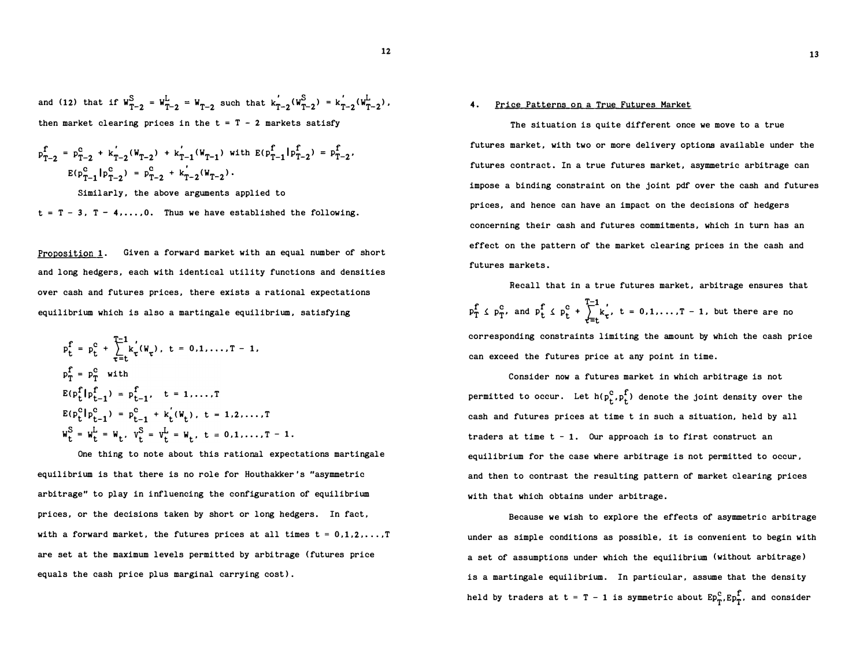and (12) that if  $W_{T-2}^S = W_{T-2}^L = W_{T-2}$  such that  $k_{T-2}^{'(W_{T-2}^S)} = k_{T-2}^{'(W_{T-2}^L)}$ , then market clearing prices in the  $t = T - 2$  markets satisfy

$$
p_{T-2}^f = p_{T-2}^c + k_{T-2}^{'}(W_{T-2}) + k_{T-1}^{'}(W_{T-1}) \text{ with } E(p_{T-1}^f|p_{T-2}^f) = p_{T-2}^f,
$$
  

$$
E(p_{T-1}^c|p_{T-2}^c) = p_{T-2}^c + k_{T-2}^{'}(W_{T-2}).
$$

Similarly, the above arguments applied to

 $t = T - 3$ ,  $T - 4$ ,..., 0. Thus we have established the following.

Proposition 1. Given a forward market with an equal number of short and long hedgers, each with identical utility functions and densities over cash and futures prices, there exists a rational expectations equilibrium which is also a martingale equilibrium, satisfying

$$
p_{t}^{f} = p_{t}^{c} + \sum_{\tau=t}^{T-1} k_{\tau}^{'}(W_{\tau}), \quad t = 0, 1, \ldots, T - 1,
$$
  
\n
$$
p_{T}^{f} = p_{T}^{c} \text{ with}
$$
  
\n
$$
E(p_{t}^{f}|p_{t-1}^{f}) = p_{t-1}^{f}, \quad t = 1, \ldots, T
$$
  
\n
$$
E(p_{t}^{c}|p_{t-1}^{c}) = p_{t-1}^{c} + k_{t}^{'}(W_{t}), \quad t = 1, 2, \ldots, T
$$
  
\n
$$
W_{t}^{S} = W_{t}^{L} = W_{t}, \quad V_{t}^{S} = V_{t}^{L} = W_{t}, \quad t = 0, 1, \ldots, T - 1.
$$

One thing to note about this rational expectations martingale equilibrium is that there is no role for Houthakker 's "asymmetric arbitrage" to play in influencing the configuration of equilibrium prices, or the decisions taken by short or long hedgers. In fact, with a forward market, the futures prices at all times  $t = 0, 1, 2, \ldots, T$ are set at the maximum levels permitted by arbitrage (futures price equals the cash price plus marginal carrying cost).

The situation is quite different once we move to a true futures market, with two or more delivery options available under the futures contract. In a true futures market, asymmetric arbitrage can impose a binding constraint on the joint pdf over the cash and futures prices, and hence can have an impact on the decisions of hedgers concerning their cash and futures commitments, which in turn has an effect on the pattern of the market clearing prices in the cash and futures markets.

Recall that in a true futures market, arbitrage ensures that  $f \circ e$  and  $f \circ e$   $f^{-1}$  $P_T^I \leq P_T^C$ , and  $P_t^I \leq P_t^C + \sum_{\tau=t} k_{\tau}$ ,  $t = 0, 1, ..., T - 1$ , but there are no corresponding constraints limiting the amount by which the cash price can exceed the futures price at any point in time.

Consider now a futures market in which arbitrage is not permitted to occur. Let  $h(p_t^c, p_t^f)$  denote the joint density over the cash and futures prices at time t in such a situation, held by all traders at time  $t - 1$ . Our approach is to first construct an equilibrium for the case where arbitrage is not permitted to occur, and then to contrast the resulting pattern of market clearing prices with that which obtains under arbitrage.

Because we wish to explore the effects of asymmetric arbitrage under as simple conditions as possible, it is convenient to begin with a set of assumptions under which the equilibrium (without arbitrage) is a martingale equilibrium. In particular, assume that the density held by traders at  $t = T - 1$  is symmetric about  $E_{T_T}^c$ ,  $E_{T_T}^f$ , and consider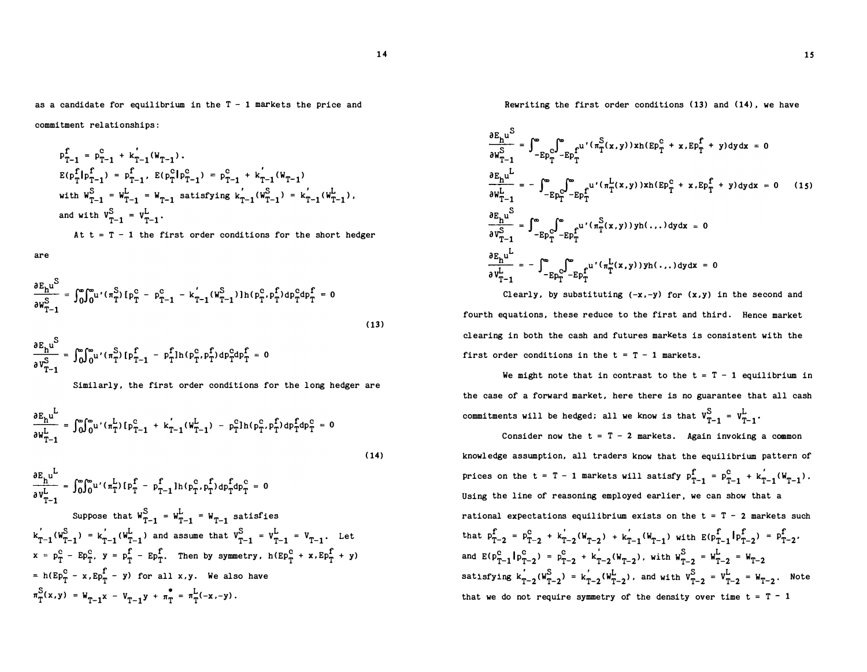as a candidate for equilibrium in the  $T - 1$  markets the price and

commitment relationship s:

$$
p_{T-1}^{f} = p_{T-1}^{c} + k'_{T-1}(W_{T-1}).
$$
  
\n
$$
E(p_{T}^{f}|p_{T-1}^{f}) = p_{T-1}^{f}, E(p_{T}^{c}|p_{T-1}^{c}) = p_{T-1}^{c} + k'_{T-1}(W_{T-1})
$$
  
\nwith  $W_{T-1}^{S} = W_{T-1}^{L} = W_{T-1}$  satisfying  $k'_{T-1}(W_{T-1}^{S}) = k'_{T-1}(W_{T-1}^{L}),$   
\nand with  $V_{T-1}^{S} = V_{T-1}^{L}.$ 

At  $t = T - 1$  the first order conditions for the short hedger

are

$$
\frac{\partial E_h u^S}{\partial w_{T-1}^S} = \int_0^\infty \int_0^\infty u' (\pi_T^S) \left[ p_T^C - p_{T-1}^C - k_{T-1}'(w_{T-1}^S) \right] h(p_T^C, p_T^f) dp_T^C dp_T^f = 0
$$
\n(13)

$$
\frac{\partial E_h u^S}{\partial v_{T-1}^S} = \int_0^\infty \int_0^\infty u' (\pi_T^S) \left[ p_{T-1}^f - p_T^f \right] h(p_T^c, p_T^f) dp_T^c dp_T^f = 0
$$

Similarly, the first order conditions for the long hedger are

$$
\frac{\partial E_{h}u^{L}}{\partial W_{T-1}^{L}} = \int_{0}^{\infty} \int_{0}^{\infty} u'( \pi_{T}^{L}) \left[ p_{T-1}^{C} + k_{T-1}'(W_{T-1}^{L}) - p_{T}^{C} \ln(p_{T}^{C}, p_{T}^{L}) dp_{T}^{C} dp_{T}^{C} = 0
$$
\n(14)

$$
\frac{\partial E_{h^u}}{\partial v_{T-1}^L} = \int_0^\infty \int_0^\infty u' \left(\pi_T^L\right) \left[ p_T^f - p_{T-1}^f \right] h \left( p_T^c, p_T^f \right) dp_T^f dp_T^c = 0
$$
\n
$$
\text{Suppose that } w_{T-1}^S = w_{T-1}^L = w_{T-1} \text{ satisfies}
$$
\n
$$
k_{T-1} \left( w_{T-1}^S \right) = k_{T-1} \left( w_{T-1}^L \right) \text{ and assume that } v_{T-1}^S = v_{T-1}^L = v_{T-1}. \text{ Let}
$$
\n
$$
x = p_T^c - E p_T^c. \quad y = p_T^f - E p_T^f. \quad \text{Then by symmetry, } h(E p_T^c + x, E p_T^f + y)
$$
\n
$$
= h(E p_T^c - x, E p_T^f - y) \text{ for all } x, y. \quad \text{We also have}
$$
\n
$$
\pi_T^S(x, y) = w_{T-1} x - v_{T-1} y + \pi_T^* = \pi_T^L(-x, -y).
$$

Rewriting the first order conditions (13) and (14), we have

$$
\frac{\partial E_{h}u^{S}}{\partial W_{T-1}^{L}} = \int_{-E_{P_{T}}C}^{\infty} \int_{-E_{P_{T}}C}^{u} (n_{T}^{S}(x,y))xh(E_{P_{T}}^{C} + x,E_{P_{T}}^{f} + y)dydx = 0
$$
\n
$$
\frac{\partial E_{h}u^{L}}{\partial W_{T-1}^{L}} = -\int_{-E_{P_{T}}C}^{\infty} \int_{-E_{P_{T}}C}^{u} (n_{T}^{L}(x,y))xh(E_{P_{T}}^{C} + x,E_{P_{T}}^{f} + y)dydx = 0 \qquad (15)
$$
\n
$$
\frac{\partial E_{h}u^{S}}{\partial V_{T-1}^{S}} = \int_{-E_{P_{T}}C}^{\infty} \int_{-E_{P_{T}}C}^{u} (n_{T}^{S}(x,y))yh(...)dydx = 0
$$
\n
$$
\frac{\partial E_{h}u^{L}}{\partial V_{T-1}^{L}} = -\int_{-E_{P_{T}}C}^{\infty} \int_{-E_{P_{T}}C}^{u} (n_{T}^{L}(x,y))yh(...)dydx = 0
$$

Clearly, by substituting  $(-x, -y)$  for  $(x, y)$  in the second and fourth equations, these reduce to the first and third. Hence market clearing in both the cash and futures markets is consistent with the first order conditions in the  $t = T - 1$  markets.

We might note that in contrast to the  $t = T - 1$  equilibrium in the case of a forward market, here there is no guarantee that all cash commitments will be hedged; all we know is that  $v_{T-1}^S = v_{T-1}^L$ .

Consider now the  $t = T - 2$  markets. Again invoking a common knowledge assump tion, all traders know that the equilibrium p attern of prices on the t = T - 1 markets will satisfy  $p_{T-1}^c = p_{T-1}^c + k_{T-1}^{'}(W_{T-1})$ . Using the line of reasoning emp loyed earlier, we can show that a rational expectations equilibrium exists on the  $t = T - 2$  markets such that  $p_{T-2}^f = p_{T-2}^c + k_{T-2}^{'(w_{T-2})} + k_{T-1}^{'(w_{T-1})}$  with  $E(p_{T-1}^f | p_{T-2}^f) = p_{T-2}^f$ . and  $E(p_{T-1}^c | p_{T-2}^c) = p_{T-2}^c + k_{T-2}^r (W_{T-2})$ , with  $W_{T-2}^S = W_{T-2}^L = W_{T-2}$ satisfying  $k_{T-2}^{'}(W_{T-2}^S) = k_{T-2}^{'}(W_{T-2}^L)$ , and with  $V_{T-2}^S = V_{T-2}^L = W_{T-2}$ . Note that we do not require symmetry of the density over time  $t = T - 1$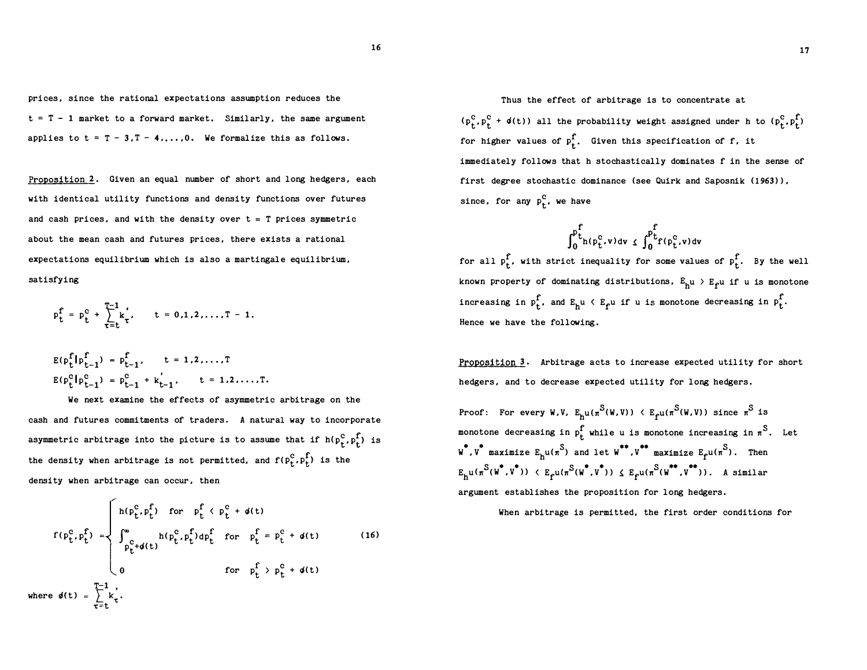prices, since the rational expectations assumption reduces the  $t = T - 1$  market to a forward market. Similarly, the same argument applies to  $t = T - 3, T - 4, ..., 0$ . We formalize this as follows.

Proposition 2. Given an equal number of short and long hedgers, each with identical utility functions and density functions over futures and cash prices, and with the density over  $t = T$  prices symmetric about the mean cash and futures prices, there exists a rational expectations equilibrium which is also a martingale equilibrium, satisfying

$$
p_t^f = p_t^c + \sum_{\tau=t}^{T-1} k_{\tau}^{'}, \qquad t = 0, 1, 2, ..., T-1.
$$

$$
E(p_t^f|p_{t-1}^f) = p_{t-1}^f, \t= 1, 2, ..., T
$$
  
\n
$$
E(p_t^c|p_{t-1}^c) = p_{t-1}^c + k_{t-1}^{'}, \t= 1, 2, ..., T.
$$

We next examine the effects of asymmetric arbitrage on the cash and futures commitments of traders. A natural way to incorporate asymmetric arbitrage into the picture is to assume that if  $h(p_t^c, p_t^f)$  is the density when arbitrage is not permitted, and  $f(p_t^c, p_t^f)$  is the density when arbitrage can occur, then

$$
f(p_{t}^{c}, p_{t}^{f}) = \begin{cases} h(p_{t}^{c}, p_{t}^{f}) & \text{for } p_{t}^{f} \langle p_{t}^{c} + \phi(t) \rangle \\ \int_{p_{t}^{c} + \phi(t)}^{w} h(p_{t}^{c}, p_{t}^{f}) dp_{t}^{f} & \text{for } p_{t}^{f} = p_{t}^{c} + \phi(t) \end{cases}
$$
 (16)  
where  $\phi(t) = \sum_{\tau=t}^{T-1} k_{\tau}$ .

Thus the effect of arbitrage is to concentrate at  $(p_f^c, p_f^c + \phi(t))$  all the probability weight assigned under h to  $(p_f^c, p_f^f)$ for higher values of  $p_f^f$ . Given this specification of f, it immediately follows that h stochastically dominates f in the sense of first degree stochastic dominance (see Quirk and Saposnik (1963)), since, for any  $p_t^C$ , we have

$$
\int_0^{p^f_{t}}\hspace{-1mm}h(\mathbf{p}^c_{t},\mathbf{v})\hspace{-1mm} \text{d} \mathbf{v} \hspace{-1mm} \hspace{1mm} \hspace{1mm} \leqslant \hspace{-1mm} \int_0^{p^f_{t}}\hspace{-1mm}f(\mathbf{p}^c_{t},\mathbf{v})\hspace{-1mm} \text{d} \mathbf{v}
$$

for all  $p_t^f$ , with strict inequality for some values of  $p_t^f$ . By the well known property of dominating distributions,  $E_{\text{h}^{\text{u}}}$   $>$   $E_{\text{f}^{\text{u}}}$  if  $\text{u}$  is monotone increasing in  $p_t^f$ , and  $E_h$ u  $\langle$   $E_f$ u if u is monotone decreasing in  $p_t^f$ . Hence we have the following.

Proposition 3. Arbitrage acts to increase expected utility for short hedgers, and to decrease expected utility for long hedgers.

Proof: For every W.V.  $E_{h^{U}}(\pi^{S(W,V)}) \leq E_{f^{U}}(\pi^{S(W,V)})$  since  $\pi^{S}$  is s s monotone decreasing in  $p_t^{\hat{r}}$  while **u** is monotone increasing in  $\pi^{\hat{S}}$ . Let  $\texttt{w}^*$ ,  $\texttt{v}^*$  maximize  $\texttt{E}_{\texttt{h}}$ u( $\pi^\texttt{S}$ ) and let  $\texttt{w}^*$ ,  $\texttt{v}^*$  maximize  $\texttt{E}_{\texttt{f}}$ u( $\pi^\texttt{S}$ ). Then  $\mathbb{E}_{\textbf{h}^{\text{u}}}(\pi^{\text{S}}(\textbf{W}^{\bullet}, \textbf{V}^{\bullet})) \in \mathbb{E}_{\textbf{f}^{\text{u}}}(\pi^{\text{S}}(\textbf{W}^{\bullet}, \textbf{V}^{\bullet})) \leq \mathbb{E}_{\textbf{f}^{\text{u}}}(\pi^{\text{S}}(\textbf{W}^{\bullet\bullet}, \textbf{V}^{\bullet\bullet})).$  A similar argument establishes the proposition for long hedgers.

When arbitrage is permitted, the first order conditions for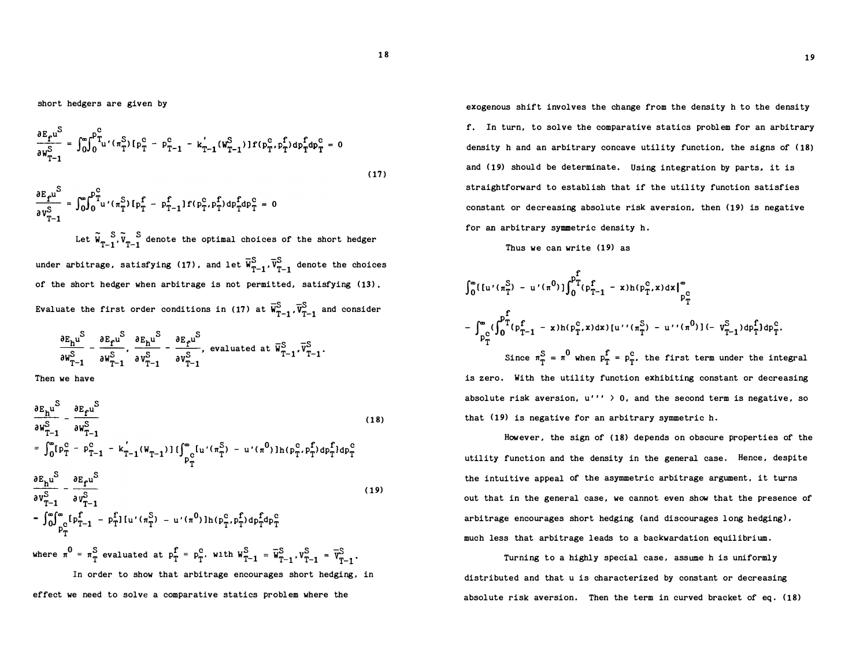short hedgers are given by

$$
\frac{\partial E_{f}u^{S}}{\partial w_{T-1}^{S}} = \int_{0}^{\infty} \int_{0}^{P_{T}^{C}} u'(n_{T}^{S}) [p_{T}^{C} - p_{T-1}^{C} - k_{T-1}^{'}(w_{T-1}^{S})] f(p_{T}^{C}, p_{T}^{f}) dp_{T}^{C} dp_{T}^{C} = 0
$$
\n(17)

$$
\frac{\partial E_{f}u^{S}}{\partial v_{T-1}^{S}} = \int_{0}^{\infty} \int_{0}^{p_{T}^{C}} u'(n_{T}^{S}) \left[ p_{T}^{f} - p_{T-1}^{f} \right] f(p_{T}^{c}, p_{T}^{f}) dp_{T}^{f} dp_{T}^{c} = 0
$$

Let  $\tilde{W}_{T-1}^S$ ,  $\tilde{V}_{T-1}^S$  denote the optimal choices of the short hedger under arbitrage, satisfying (17), and let  $\overline{W}^S_{T-1}, \overline{V}^S_{T-1}$  denote the choices of the short hedger when arbitrage is not permitted, satisfying (13). Evaluate the first order conditions in (17) at  $\vec{w}^S_{T-1}$ ,  $\vec{v}^S_{T-1}$  and consider

$$
\frac{\partial E_{h}u^{S}}{\partial W_{T-1}^{S}} - \frac{\partial E_{f}u^{S}}{\partial W_{T-1}^{S}}, \frac{\partial E_{h}u^{S}}{\partial V_{T-1}^{S}} - \frac{\partial E_{f}u^{S}}{\partial V_{T-1}^{S}}, \text{ evaluated at } \overline{W}_{T-1}^{S}, \overline{V}_{T-1}^{S}.
$$

Then we have

$$
\frac{\partial E_{h}u^{S}}{\partial W_{T-1}^{S}} - \frac{\partial E_{f}u^{S}}{\partial W_{T-1}^{S}}
$$
\n
$$
= \int_{0}^{\infty} [p_{T}^{C} - p_{T-1}^{C} - k_{T-1}^{'}(W_{T-1})] \{ \int_{p_{C}^{C}}^{\infty} [u'(\pi_{T}^{S}) - u'(\pi^{0})] h(p_{T}^{C}, p_{T}^{f}) dp_{T}^{f}] dp_{T}^{C}
$$
\n
$$
\frac{\partial E_{h}u^{S}}{\partial V_{T-1}^{S}} - \frac{\partial E_{f}u^{S}}{\partial V_{T-1}^{S}}
$$
\n
$$
= \int_{0}^{\infty} \int_{p_{T}^{C}}^{m} [f_{T-1}^{f} - p_{T}^{f}] [u'(\pi_{T}^{S}) - u'(\pi^{0})] h(p_{T}^{C}, p_{T}^{f}) dp_{T}^{f} dp_{T}^{C}
$$
\nwhere  $\pi^{0} = \pi_{T}^{S}$  evaluated at  $p_{T}^{f} = p_{T}^{C}$ , with  $W_{T-1}^{S} = \overline{W}_{T-1}^{S}$ ,  $V_{T-1}^{S} = \overline{V}_{T-1}^{S}$ .  
\nIn order to show that arbitrage encourages short hedging, in

effect we need to solve a comparative statics problem where the

exogenous shift involves the change from the density h to the density f. In turn, to solve the comparative statics problem for an arbitrary density h and an arbitrary concave utility function, the signs of (18) and (19) should be determinate. Using integration by parts, it is straightforward to establish that if the utility function satisfies constant or decreasing absolute risk aversion, then (19) is negative for an arbitrary symmetric density h.

Thus we can write (19) as

$$
\int_0^\infty \{\left[u'(\pi_1^S) - u'(\pi^0)\right]\int_0^p T_{(p_{T-1}^f - x)h(p_T^c, x)dx}\Big|_{p_T^c}^\infty
$$
  
\n
$$
-\int_{p_T^c}^\infty (\int_0^{p_T^f} (\rho_{T-1}^f - x)h(p_T^c, x)dx) [u''(\pi_T^S) - u''(\pi^0)] (-v_{T-1}^S)dp_T^f] dp_T^c.
$$
  
\nSince  $\pi_T^S = \pi^0$  when  $p_T^f = p_T^c$ , the first term under the integral  
\nis zero. With the utility function exhibiting constant or decreasing

absolute risk aversion,  $u''''$  > 0, and the second term is negative, so that (19) is negative for an arbitrary symmetric h.

However, the sign of (18) depends on obscure properties of the utility function and the density in the general case. Hence, despite the intuitive appeal of the asymmetric arbitrage argument, it turns out that in the general case, we cannot even show that the presence of arbitrage encourages short hedging (and discourages long hedging), much less that arbitrage leads to a backwardation equilibrium.

Turning to a highly special case, assume h is uniformly distributed and that u is characterized by constant or decreasing absolute risk aversion. Then the term in curved bracket of eq. (18)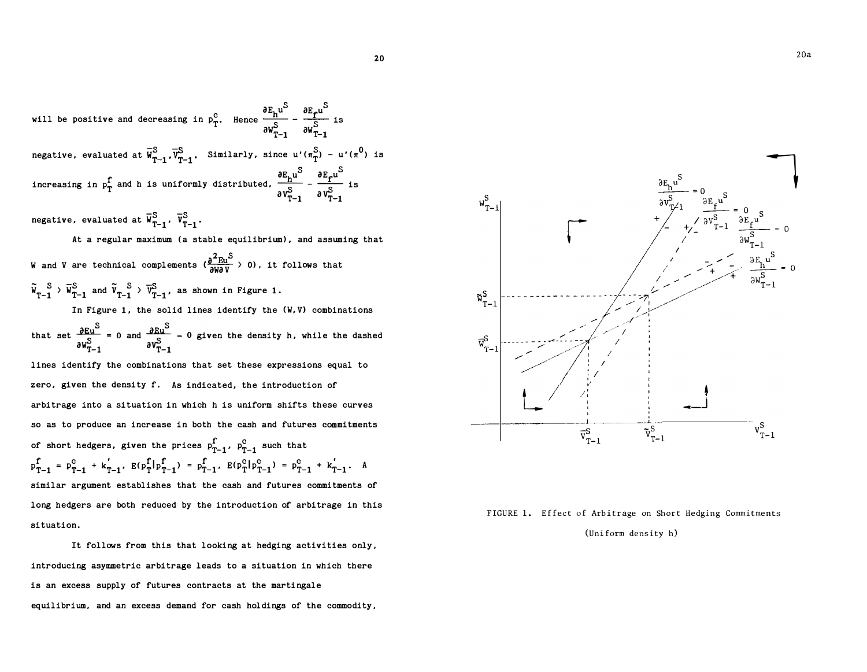will be positive and decreasing in  $p_T^c$ . Hence  $\frac{\partial E_h u^S}{S} - \frac{\partial E_f u^S}{S}$ Hence  $\frac{S}{\partial w_{T-1}^S}$  -  $\frac{S}{\partial w_{T-1}^S}$  is negative, evaluated at  $\overline{w}^S_{T-1}$ ,  $\overline{v}^S_{T-1}$ . Similarly, since u'( $\pi^S_T$ ) - u'( $\pi^O$ ) is increasing in  $p_T^f$  and h is uniformly distributed,  $\frac{\partial E_{h} u^S}{\partial v_{T-1}^S} - \frac{\partial E_{f} u^S}{\partial v_{T-1}^S}$  is

negative, evaluated at  $\overline{w}_{T-1}^S$ ,  $\overline{v}_{T-1}^S$ .

At a regular maximum (a stable equilibrium), and assuming that

W and V are technical complements ( $\frac{\partial^2 E_{U}S}{\partial W \partial V}$   $>$  0), it follows that  $\overline{W}_{T-1}^S$  >  $\overline{W}_{T-1}^S$  and  $\overline{V}_{T-1}^S$  >  $\overline{V}_{T-1}^S$ , as shown in Figure 1.

In Figure 1, the solid lines identify the (W,V) combinations

that set  $\frac{\partial E u^S}{\partial w_{T-1}^S} = 0$  and  $\frac{\partial E u^S}{\partial v_{T-1}^S}$ O given the density h, while the dashed

lines identify the combinations that set these expressions equal to zero, given the density f. As indicated, the introduction of arbitrage into a situation in which h is uniform shifts these curves so as to produce an increase in both the cash and futures commitments of short hedgers, given the prices  $p_{T-1}^{\text{f}}$ ,  $p_{T-1}^{\text{c}}$  such that  $p_{T-1}^{\text{f}} = p_{T-1}^{\text{c}} + k_{T-1}^{\prime}$ ,  $E(p_T^{\text{f}}|p_{T-1}^{\text{f}}) = p_{T-1}^{\text{f}}$ ,  $E(p_T^{\text{c}}|p_{T-1}^{\text{c}}) = p_{T-1}^{\text{c}} + k_{T-1}^{\prime}$ . A similar argument establishes that the cash and futures commitments of long hedgers are both reduced by the introduction of arbitrage in this situation.

It follows from this that looking at hedging activities only, introducing asymmetric arbitrage leads to a situation in which there is an excess supply of futures contracts at the martingale equilibrium, and an excess demand for cash holdings of the commodity,



#### FIGURE 1. Effect of Arbitrage on Short Hedging Commitments

#### (Uniform density h)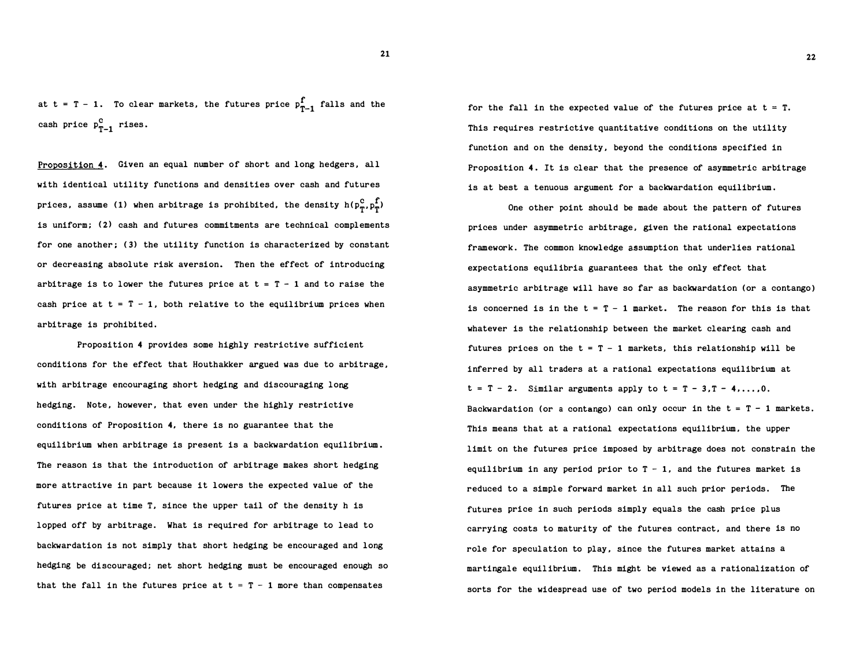at t = T - 1. To clear markets, the futures price  $p_{T-1}^{\uparrow}$  falls and the cash price  $p_{T-1}^c$  rises.

Proposition 4. Given an equal number of short and long hedgers, all with identical utility functions and densities over cash and futures prices, assume (1) when arbitrage is prohibited, the density  $h(p_{\varphi}^c, p_{\varphi}^f)$ is uniform; (2) cash and futures commitments are technical complements for one another; (3) the utility function is characterized by constant or decreasing absolute risk aversion. Then the effect of introducing arbitrage is to lower the futures price at  $t = T - 1$  and to raise the cash price at  $t = T - 1$ , both relative to the equilibrium prices when arbitrage is prohibited.

Proposition 4 provides some highly restrictive sufficient conditions for the effect that Houthakker argued was due to arbitrage, with arbitrage encouraging short hedging and discouraging long hedging. Note, however, that even under the highly restrictive conditions of Proposition 4, there is no guarantee that the equilibrium when arbitrage is present is a backwardation equilibrium. The reason is that the introduction of arbitrage makes short hedging more attractive in part because it lowers the expected value of the futures price at time T, since the upper tail of the density h is lopped off by arbitrage. What is required for arbitrage to lead to backwardation is not simply that short hedging be encouraged and long hedging be discouraged; net short hedging must be encouraged enough so that the fall in the futures price at  $t = T - 1$  more than compensates

for the fall in the expected value of the futures price at  $t = T$ . This requires restrictive quantitative conditions on the utility function and on the density, beyond the conditions specified in Proposition 4. It is clear that the presence of asymmetric arbitrage is at best a tenuous argument for a backwardation equilibrium.

One other point should be made about the pattern of futures prices under asymmetric arbitrage, given the rational expectations framework. The common knowledge assumption that underlies rational expectations equilibria guarantees that the only effect that asymmetric arbitrage will have so far as backwardation (or a contango) is concerned is in the  $t = T - 1$  market. The reason for this is that whatever is the relationship between the market clearing cash and futures prices on the  $t = T - 1$  markets, this relationship will be inferred by all traders at a rational expectations equilibrium at  $t = T - 2$ . Similar arguments apply to  $t = T - 3, T - 4, \ldots, 0$ . Backwardation (or a contango) can only occur in the  $t = T - 1$  markets. This means that at a rational expectations equilibrium. the upper limit on the futures price imposed by arbitrage does not constrain the equilibrium in any period prior to  $T - 1$ , and the futures market is reduced to a simple forward market in all such prior periods. The futures price in such periods simply equals the cash price plus carrying costs to maturity of the futures contract, and there is no role for speculation to play, since the futures market attains a martingale equilibrium. This might be viewed as a rationalization of sorts for the widespread use of two period models in the literature on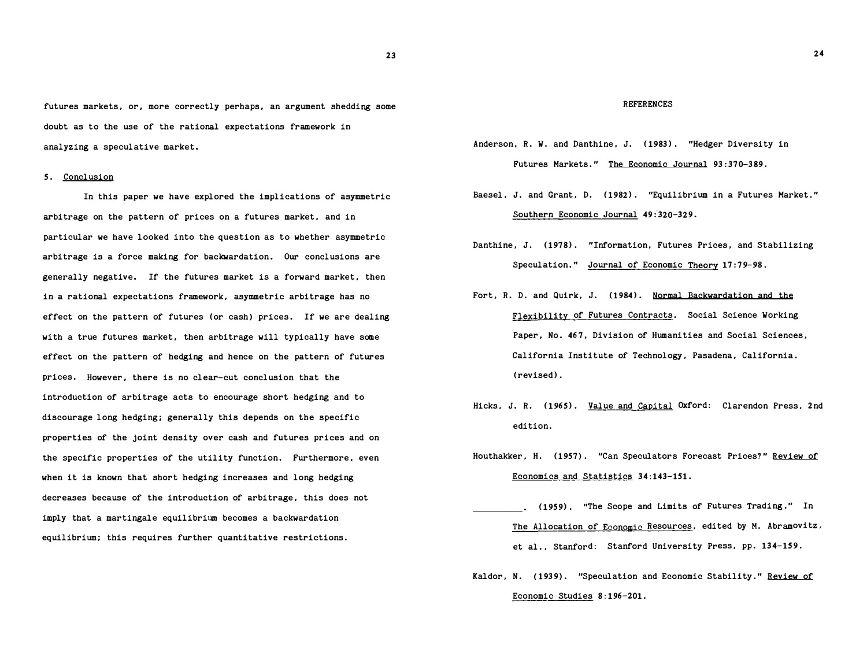futures markets, or, more correctly perhaps, an argument shedding some doubt as to the use of the rational expectations framework in analyzing a speculative market.

#### 5. Conclusion

In this paper we have explored the implications of asymmetric arbitrage on the pattern of prices on a futures market, and in particular we have looked into the question as to whether asymmetric arbitrage is a force making for backwardation. Our conclusions are generally negative. If the futures market is a forward market, then in a rational expectations framework, asymmetric arbitrage has no effect on the pattern of futures (or cash) prices. If we are dealing with a true futures market, then arbitrage will typically have some effect on the pattern of hedging and hence on the pattern of futures prices. However, there is no clear-cut conclusion that the introduction of arbitrage acts to encourage short hedging and to discourage long hedging; generally this depends on the specific properties of the joint density over cash and futures prices and on the specific properties of the utility function. Furthermore, even when it is known that short hedging increases and long hedging decreases because of the introduction of arbitrage, this does not imply that a martingale equilibrium becomes a backwardation equilibrium; this requires further quantitative restrictions.

#### **REFERENCES**

- Anderson, R. W. and Danthine, J. ( 1983) . "Hedger Diversity in Futures Markets." The Economic Journal 93:370-389.
- Baese!, J. and Grant, D. (1982). "Equilibrium in a Futures Market." Southern Economic Journal 49:320-329.
- Danthine, J. (1978). "Information, Futures Prices, and Stabilizing Speculation." Journal of Economic Theory 17:79-98.
- Fort, R. D. and Quirk, J. (1984). Normal Backwardation and the Flexibility of Futures Contracts. Social Science Working Paper, No. 467, Division of Humanities and Social Sciences, California Institute of Technology, Pasadena, California. (revised).
- Hicks, J. R. (1965). Value and Capital Oxford: Clarendon Press, 2nd edition.
- Houthakker, H. (1957). "Can Speculators Forecast Prices?" Review of Economics and Statistics 34:143-151.
- (1959). "The Scope and Limits of Futures Trading." In The Allocation of Economic Resources, edited by M. Abramovitz, et al., Stanford: Stanford University Press, pp. 134-159.
- Kaldor, N. (1939). "Speculation and Economic Stability." Review of Economic Studies 8:196-201.